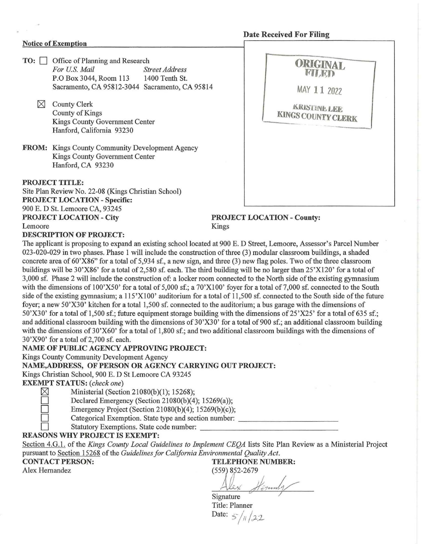### **Date Received For Filing**

#### **Notice of Exemotion**

- **TO:**  $\Box$  Office of Planning and Research For U.S. Mail Sti *Street Address*<br>1400 Tenth St. P.O Box 3044, Room 113 Sacramento, CA 95812-3044 Sacramento, CA 95814
	- $\times$  County Clerk County of Kings Kings County Government Center Hanford, California 93230
- **FROM:** Kings County Community Development Agency Kings County Government Center Hanford, CA 93230

**PROJECT TITLE:**  Site Plan Review No. 22-08 (Kings Christian School) **PROJECT LOCATION - Specific:**  900 E. D St. Lemoore CA, 93245 **PROJECT LOCATION - City PROJECT LOCATION - County:**  Lemoore Kings



#### **DESCRIPTION OF PROJECT:**

The applicant is proposing to expand an existing school located at 900 E. D Street, Lemoore, Assessor's Parcel Number 023-020-029 in two phases. Phase 1 will include the construction of three (3) modular classroom buildings, a shaded concrete area of 60'X86" for a total of 5,934 sf., a new sign, and three (3) new flag poles. Two of the three classroom buildings will be 30'X86' for a total of 2,580 sf. each. The third building will be no larger than 25'X120' for a total of 3,000 sf. Phase 2 will include the construction of: a locker room connected to the North side of the existing gymnasium with the dimensions of 100'X50' for a total of 5,000 sf.; a 70'X100' foyer for a total of 7,000 sf. connected to the South side of the existing gymnasium; a  $115^{\prime}X100'$  auditorium for a total of  $11,500$  sf. connected to the South side of the future foyer; a new 50'X30' kitchen for a total 1,500 sf. connected to the auditorium; a bus garage with the dimensions of 50'X30' for a total of 1,500 sf.; future equipment storage building with the dimensions of 25'X25' for a total of 635 sf.; and additional classroom building with the dimensions of 30'X30' for a total of 900 sf.; an additional classroom building with the dimensions of 30'X60' for a total of 1,800 sf.; and two additional classroom buildings with the dimensions of 30'X90' for a total of2,700 sf. each.

#### **NAME OF PUBLIC AGENCY APPROVING PROJECT:**

Kings County Community Development Agency

**NAME,ADDRESS, OF PERSON OR AGENCY CARRYING OUT PROJECT:** 

Kings Christian School, 900 E. D St Lemoore CA 93245

**EXEMPT STATUS:** *(check one)* 

 $\boxtimes$  Ministerial (Section 21080(b)(1); 15268);

Declared Emergency (Section 21080(b)(4); 15269(a));

Emergency Project (Section 21080(b)(4); 15269(b)(c));

Categorical Exemption. State type and section number:

Statutory Exemptions. State code number:

#### **REASONS WHY PROJECT IS EXEMPT:**

Section 4.G.1. of the *Kings County Local Guidelines to Implement CEQA* lists Site Plan Review as a Ministerial Project pursuant to Section 15268 of the *Guidelines for California Environmental Quality Act.* 

**CONTACT PERSON: TELEPHONE NUMBER:**  Alex Hernandez (559) 852-2679

(339) 832-2019<br>Alex Hernnly Signature

Title: Planner Date:  $5/11/22$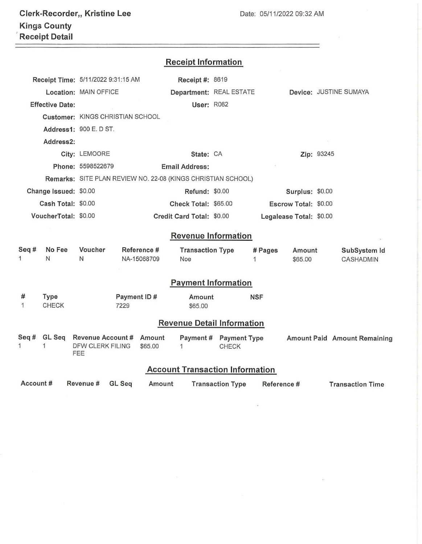# **Receipt Information**

|                                                                                                                       |                        | Receipt Time: 5/11/2022 9:31:15 AM |                            |         | Receipt #: 8619                |              |                                        |                         |                        |                                  |  |  |
|-----------------------------------------------------------------------------------------------------------------------|------------------------|------------------------------------|----------------------------|---------|--------------------------------|--------------|----------------------------------------|-------------------------|------------------------|----------------------------------|--|--|
|                                                                                                                       |                        | Location: MAIN OFFICE              |                            |         |                                |              | Department: REAL ESTATE                |                         | Device: JUSTINE SUMAYA |                                  |  |  |
|                                                                                                                       | <b>Effective Date:</b> |                                    |                            |         | <b>User: R062</b>              |              |                                        |                         |                        |                                  |  |  |
|                                                                                                                       |                        | Customer: KINGS CHRISTIAN SCHOOL   |                            |         |                                |              |                                        |                         |                        |                                  |  |  |
|                                                                                                                       |                        | Address1: 900 E. D ST.             |                            |         |                                |              |                                        |                         |                        |                                  |  |  |
| Address2:                                                                                                             |                        |                                    |                            |         |                                |              |                                        |                         |                        |                                  |  |  |
|                                                                                                                       |                        | City: LEMOORE                      |                            |         | State: CA                      |              |                                        |                         | Zip: 93245             |                                  |  |  |
|                                                                                                                       |                        | Phone: 5598522679                  | <b>Email Address:</b>      |         |                                |              |                                        |                         |                        |                                  |  |  |
| Remarks: SITE PLAN REVIEW NO. 22-08 (KINGS CHRISTIAN SCHOOL)                                                          |                        |                                    |                            |         |                                |              |                                        |                         |                        |                                  |  |  |
| Change Issued: \$0.00                                                                                                 |                        |                                    |                            |         | Refund: \$0.00                 |              | Surplus: \$0.00                        |                         |                        |                                  |  |  |
| Cash Total: \$0.00                                                                                                    |                        |                                    |                            |         | Check Total: \$65.00           |              |                                        | Escrow Total: \$0.00    |                        |                                  |  |  |
| VoucherTotal: \$0.00                                                                                                  |                        |                                    |                            |         | Credit Card Total: \$0.00      |              |                                        | Legalease Total: \$0.00 |                        |                                  |  |  |
|                                                                                                                       |                        |                                    |                            |         | <b>Revenue Information</b>     |              |                                        |                         |                        |                                  |  |  |
|                                                                                                                       |                        |                                    |                            |         |                                |              |                                        |                         |                        |                                  |  |  |
| Seq#<br>No Fee<br>1<br>N                                                                                              |                        | Voucher<br>N                       | Reference #<br>NA-15068709 |         | <b>Transaction Type</b><br>Noe |              | # Pages<br>1                           | Amount<br>\$65.00       |                        | SubSystem Id<br><b>CASHADMIN</b> |  |  |
|                                                                                                                       |                        |                                    |                            |         |                                |              |                                        |                         |                        |                                  |  |  |
|                                                                                                                       |                        |                                    |                            |         | <b>Payment Information</b>     |              |                                        |                         |                        |                                  |  |  |
| #                                                                                                                     | Type                   |                                    | Payment ID#                |         | Amount                         |              | <b>NSF</b>                             |                         |                        |                                  |  |  |
| 1<br><b>CHECK</b>                                                                                                     |                        |                                    | 7229                       |         | \$65.00                        |              |                                        |                         |                        |                                  |  |  |
| <b>Revenue Detail Information</b>                                                                                     |                        |                                    |                            |         |                                |              |                                        |                         |                        |                                  |  |  |
| Seq#                                                                                                                  |                        | GL Seq Revenue Account # Amount    |                            |         | Payment # Payment Type         |              |                                        |                         |                        | Amount Paid Amount Remaining     |  |  |
| 1                                                                                                                     | 1                      | DFW CLERK FILING<br>FEE            |                            | \$65.00 | 1                              | <b>CHECK</b> |                                        |                         |                        |                                  |  |  |
|                                                                                                                       |                        |                                    |                            |         |                                |              | <b>Account Transaction Information</b> |                         |                        |                                  |  |  |
| Account#<br>Revenue #<br><b>GL Seq</b><br>Amount<br><b>Transaction Type</b><br>Reference #<br><b>Transaction Time</b> |                        |                                    |                            |         |                                |              |                                        |                         |                        |                                  |  |  |
|                                                                                                                       |                        |                                    |                            |         |                                |              |                                        |                         |                        |                                  |  |  |